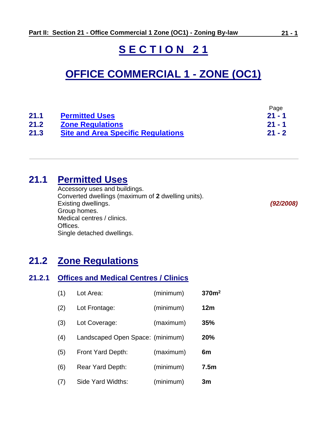# **S E C T I O N 2 1**

# **OFFICE COMMERCIAL 1 - ZONE (OC1)**

|      |                                           | Page     |
|------|-------------------------------------------|----------|
| 21.1 | <b>Permitted Uses</b>                     | $21 - 1$ |
| 21.2 | <b>Zone Regulations</b>                   | $21 - 1$ |
| 21.3 | <b>Site and Area Specific Regulations</b> | $21 - 2$ |

# <span id="page-0-0"></span>**21.1 Permitted Uses**

Accessory uses and buildings. Converted dwellings (maximum of **2** dwelling units). Existing dwellings. *(92/2008)* Group homes. Medical centres / clinics. Offices. Single detached dwellings.

## <span id="page-0-1"></span>**21.2 Zone Regulations**

#### **21.2.1 Offices and Medical Centres / Clinics**

| (1) | Lot Area:                        | (minimum) | 370 <sup>m²</sup> |
|-----|----------------------------------|-----------|-------------------|
| (2) | Lot Frontage:                    | (minimum) | 12 <sub>m</sub>   |
| (3) | Lot Coverage:                    | (maximum) | 35%               |
| (4) | Landscaped Open Space: (minimum) |           | 20%               |
| (5) | Front Yard Depth:                | (maximum) | 6m                |
| (6) | Rear Yard Depth:                 | (minimum) | 7.5 <sub>m</sub>  |
| (7) | Side Yard Widths:                | (minimum) | 3m                |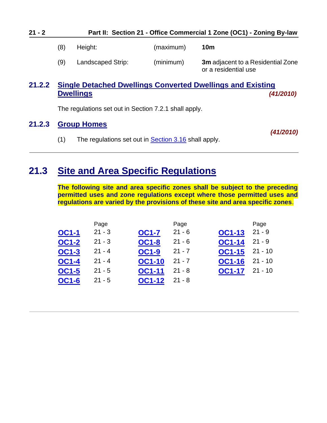| $21 - 2$ | Part II: Section 21 - Office Commercial 1 Zone (OC1) - Zoning By-law |                   |           |                                                                   |
|----------|----------------------------------------------------------------------|-------------------|-----------|-------------------------------------------------------------------|
|          | (8)                                                                  | Height:           | (maximum) | 10m                                                               |
|          | (9)                                                                  | Landscaped Strip: | (minimum) | <b>3m</b> adjacent to a Residential Zone<br>or a residential use  |
| 21.2.2   |                                                                      |                   |           | <b>Single Detached Dwellings Converted Dwellings and Existing</b> |

### **21.2.2 Single Detached Dwellings Converted Dwellings and Existing Dwellings** *(41/2010)*

The regulations set out in Section 7.2.1 shall apply.

### **21.2.3 Group Homes**

*(41/2010)*

(1) The regulations set out in **Section 3.16** shall apply.

## <span id="page-1-0"></span>**21.3 Site and Area Specific Regulations**

**The following site and area specific zones shall be subject to the preceding permitted uses and zone regulations except where those permitted uses and regulations are varied by the provisions of these site and area specific zones**.

|              | Page     |               | Page     |               | Page      |
|--------------|----------|---------------|----------|---------------|-----------|
| <b>OC1-1</b> | $21 - 3$ | <b>OC1-7</b>  | $21 - 6$ | <b>OC1-13</b> | $21 - 9$  |
| <b>OC1-2</b> | $21 - 3$ | <b>OC1-8</b>  | $21 - 6$ | <b>OC1-14</b> | $21 - 9$  |
| <b>OC1-3</b> | $21 - 4$ | <b>OC1-9</b>  | $21 - 7$ | <b>OC1-15</b> | $21 - 10$ |
| <b>OC1-4</b> | $21 - 4$ | <b>OC1-10</b> | $21 - 7$ | <b>OC1-16</b> | $21 - 10$ |
| <b>OC1-5</b> | $21 - 5$ | <b>OC1-11</b> | $21 - 8$ | <b>OC1-17</b> | $21 - 10$ |
| <b>OC1-6</b> | $21 - 5$ | <b>OC1-12</b> | $21 - 8$ |               |           |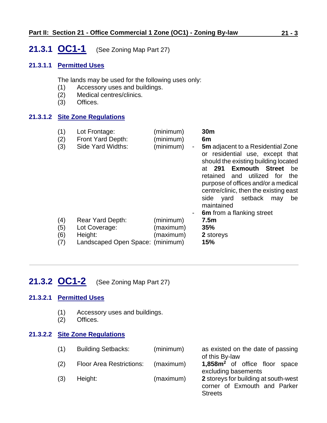## <span id="page-2-0"></span>**21.3.1 OC1-1** (See Zoning Map Part 27)

#### **21.3.1.1 Permitted Uses**

The lands may be used for the following uses only:

- (1) Accessory uses and buildings.
- (2) Medical centres/clinics.
- (3) Offices.

#### **21.3.1.2 Site Zone Regulations**

- (1) Lot Frontage: (minimum) **30m** (2) Front Yard Depth: (minimum) **6m** (3) Side Yard Widths: (minimum) - **5m** adjacent to a Residential Zone
- or residential use, except that should the existing building located at **291 Exmouth Street** be retained and utilized for the purpose of offices and/or a medical centre/clinic, then the existing east side yard setback may be maintained 6m from a flanking street (4) Rear Yard Depth: (minimum) **7.5m** (5) Lot Coverage: (maximum) **35%** (6) Height: (maximum) **2** storeys (7) Landscaped Open Space: (minimum) **15%**

# <span id="page-2-1"></span>**21.3.2 OC1-2** (See Zoning Map Part 27)

#### **21.3.2.1 Permitted Uses**

- (1) Accessory uses and buildings.
- (2) Offices.

#### **21.3.2.2 Site Zone Regulations**

| (1) | <b>Building Setbacks:</b>       | (minimum) | as existed on the date of passing<br>of this By-law                  |
|-----|---------------------------------|-----------|----------------------------------------------------------------------|
| (2) | <b>Floor Area Restrictions:</b> | (maximum) | 1,858m <sup>2</sup> of office floor space<br>excluding basements     |
| (3) | Height:                         | (maximum) | 2 storeys for building at south-west<br>corner of Exmouth and Parker |
|     |                                 |           | <b>Streets</b>                                                       |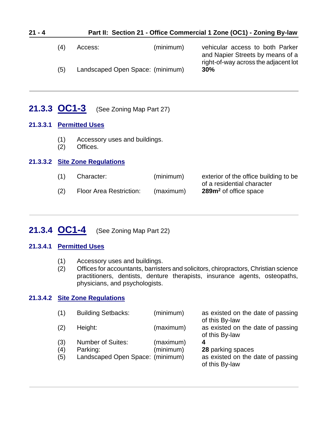| $21 - 4$ |     | Part II: Section 21 - Office Commercial 1 Zone (OC1) - Zoning By-law |           |                                                                                                             |  |  |
|----------|-----|----------------------------------------------------------------------|-----------|-------------------------------------------------------------------------------------------------------------|--|--|
|          | (4) | Access:                                                              | (minimum) | vehicular access to both Parker<br>and Napier Streets by means of a<br>right-of-way across the adjacent lot |  |  |
|          | (5) | Landscaped Open Space: (minimum)                                     |           | 30%                                                                                                         |  |  |
|          |     |                                                                      |           |                                                                                                             |  |  |

### <span id="page-3-0"></span>**21.3.3 OC1-3** (See Zoning Map Part 27)

#### **21.3.3.1 Permitted Uses**

- (1) Accessory uses and buildings.
- (2) Offices.

#### **21.3.3.2 Site Zone Regulations**

| Character:              | (minimum) | exterior of the office building to be |
|-------------------------|-----------|---------------------------------------|
|                         |           | of a residential character            |
| Floor Area Restriction: | (maximum) | 289m <sup>2</sup> of office space     |

## <span id="page-3-1"></span>**21.3.4 OC1-4** (See Zoning Map Part 22)

#### **21.3.4.1 Permitted Uses**

- (1) Accessory uses and buildings.
- (2) Offices for accountants, barristers and solicitors, chiropractors, Christian science practitioners, dentists, denture therapists, insurance agents, osteopaths, physicians, and psychologists.

#### **21.3.4.2 Site Zone Regulations**

| (1) | <b>Building Setbacks:</b>        | (minimum) | as existed on the date of passing<br>of this By-law |
|-----|----------------------------------|-----------|-----------------------------------------------------|
| (2) | Height:                          | (maximum) | as existed on the date of passing<br>of this By-law |
| (3) | <b>Number of Suites:</b>         | (maximum) | 4                                                   |
| (4) | Parking:                         | (minimum) | 28 parking spaces                                   |
| (5) | Landscaped Open Space: (minimum) |           | as existed on the date of passing<br>of this By-law |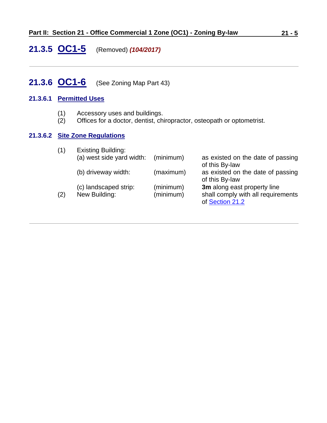## <span id="page-4-0"></span>**21.3.5 OC1-5** (Removed) *(104/2017)*

### <span id="page-4-1"></span>**21.3.6 OC1-6** (See Zoning Map Part 43)

#### **21.3.6.1 Permitted Uses**

- (1) Accessory uses and buildings.
- (2) Offices for a doctor, dentist, chiropractor, osteopath or optometrist.

### **21.3.6.2 Site Zone Regulations**

| (1) | <b>Existing Building:</b> |           |                                    |
|-----|---------------------------|-----------|------------------------------------|
|     | (a) west side yard width: | (minimum) | as existed on the date of passing  |
|     |                           |           | of this By-law                     |
|     | (b) driveway width:       | (maximum) | as existed on the date of passing  |
|     |                           |           | of this By-law                     |
|     | (c) landscaped strip:     | (minimum) | 3m along east property line        |
| (2) | New Building:             | (minimum) | shall comply with all requirements |
|     |                           |           | of Section 21.2                    |
|     |                           |           |                                    |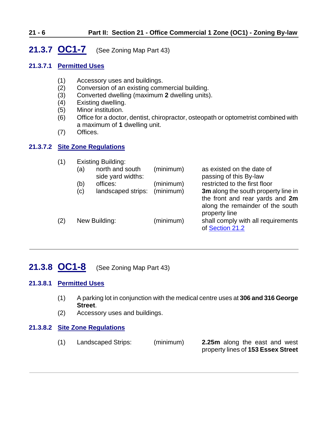### <span id="page-5-0"></span>**21.3.7 OC1-7** (See Zoning Map Part 43)

#### **21.3.7.1 Permitted Uses**

- (1) Accessory uses and buildings.
- (2) Conversion of an existing commercial building.
- (3) Converted dwelling (maximum **2** dwelling units).
- (4) Existing dwelling.
- (5) Minor institution.
- (6) Office for a doctor, dentist, chiropractor, osteopath or optometrist combined with a maximum of **1** dwelling unit.
- (7) Offices.

#### **21.3.7.2 Site Zone Regulations**

| (1) |     | <b>Existing Building:</b>     |           |                                                                                      |
|-----|-----|-------------------------------|-----------|--------------------------------------------------------------------------------------|
|     | (a) | north and south               | (minimum) | as existed on the date of                                                            |
|     | (b) | side yard widths:<br>offices: | (minimum) | passing of this By-law<br>restricted to the first floor                              |
|     | (c) | landscaped strips:            | (minimum) | 3m along the south property line in                                                  |
|     |     |                               |           | the front and rear yards and 2m<br>along the remainder of the south<br>property line |
| (2) |     | New Building:                 | (minimum) | shall comply with all requirements<br>of Section 21.2                                |

### <span id="page-5-1"></span>**21.3.8 OC1-8** (See Zoning Map Part 43)

#### **21.3.8.1 Permitted Uses**

- (1) A parking lot in conjunction with the medical centre uses at **306 and 316 George Street**.
- (2) Accessory uses and buildings.

#### **21.3.8.2 Site Zone Regulations**

(1) Landscaped Strips: (minimum) **2.25m** along the east and west

property lines of **153 Essex Street**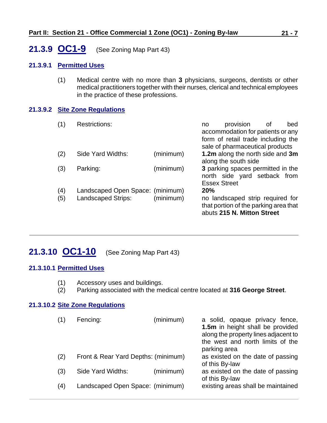### <span id="page-6-0"></span>**21.3.9 OC1-9** (See Zoning Map Part 43)

#### **21.3.9.1 Permitted Uses**

(1) Medical centre with no more than **3** physicians, surgeons, dentists or other medical practitioners together with their nurses, clerical and technical employees in the practice of these professions.

#### **21.3.9.2 Site Zone Regulations**

| (1)        | <b>Restrictions:</b>                                   |           | no                  | provision<br>accommodation for patients or any<br>form of retail trade including the<br>sale of pharmaceutical products | οt | bed |
|------------|--------------------------------------------------------|-----------|---------------------|-------------------------------------------------------------------------------------------------------------------------|----|-----|
| (2)        | Side Yard Widths:                                      | (minimum) |                     | 1.2m along the north side and 3m<br>along the south side                                                                |    |     |
| (3)        | Parking:                                               | (minimum) | <b>Essex Street</b> | 3 parking spaces permitted in the<br>north side yard setback from                                                       |    |     |
| (4)<br>(5) | Landscaped Open Space: (minimum)<br>Landscaped Strips: | (minimum) | 20%                 | no landscaped strip required for<br>that portion of the parking area that<br>abuts 215 N. Mitton Street                 |    |     |

### <span id="page-6-1"></span>**21.3.10 OC1-10** (See Zoning Map Part 43)

#### **21.3.10.1 Permitted Uses**

- (1) Accessory uses and buildings.
- (2) Parking associated with the medical centre located at **316 George Street**.

#### **21.3.10.2 Site Zone Regulations**

|     | Fencing:                            | (minimum) | a solid, opaque privacy fence,<br>1.5m in height shall be provided<br>along the property lines adjacent to<br>the west and north limits of the<br>parking area |
|-----|-------------------------------------|-----------|----------------------------------------------------------------------------------------------------------------------------------------------------------------|
| (2) | Front & Rear Yard Depths: (minimum) |           | as existed on the date of passing<br>of this By-law                                                                                                            |
| (3) | Side Yard Widths:                   | (minimum) | as existed on the date of passing<br>of this By-law                                                                                                            |
| (4) | Landscaped Open Space: (minimum)    |           | existing areas shall be maintained                                                                                                                             |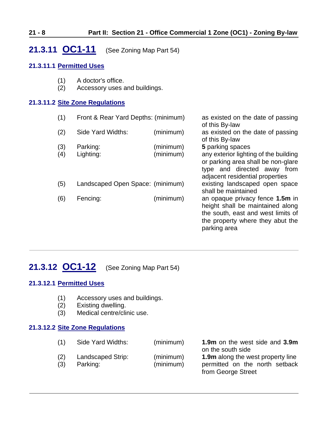### <span id="page-7-0"></span>**21.3.11 OC1-11** (See Zoning Map Part 54)

#### **21.3.11.1 Permitted Uses**

- (1) A doctor's office.
- (2) Accessory uses and buildings.

#### **21.3.11.2 Site Zone Regulations**

| (1) | Front & Rear Yard Depths: (minimum) |           | as existed on the date of passing<br>of this By-law                                                                                                           |
|-----|-------------------------------------|-----------|---------------------------------------------------------------------------------------------------------------------------------------------------------------|
| (2) | Side Yard Widths:                   | (minimum) | as existed on the date of passing<br>of this By-law                                                                                                           |
| (3) | Parking:                            | (minimum) | 5 parking spaces                                                                                                                                              |
| (4) | Lighting:                           | (minimum) | any exterior lighting of the building<br>or parking area shall be non-glare<br>type and directed away<br>from<br>adjacent residential properties              |
| (5) | Landscaped Open Space: (minimum)    |           | existing landscaped open space<br>shall be maintained                                                                                                         |
| (6) | Fencing:                            | (minimum) | an opaque privacy fence 1.5m in<br>height shall be maintained along<br>the south, east and west limits of<br>the property where they abut the<br>parking area |

## <span id="page-7-1"></span>**21.3.12 OC1-12** (See Zoning Map Part 54)

### **21.3.12.1 Permitted Uses**

- (1) Accessory uses and buildings.
- (2) Existing dwelling.
- (3) Medical centre/clinic use.

#### **21.3.12.2 Site Zone Regulations**

| (1)        | Side Yard Widths:             | (minimum)              | 1.9m on the west side and 3.9m<br>on the south side                                              |
|------------|-------------------------------|------------------------|--------------------------------------------------------------------------------------------------|
| (2)<br>(3) | Landscaped Strip:<br>Parking: | (minimum)<br>(minimum) | <b>1.9m</b> along the west property line<br>permitted on the north setback<br>from George Street |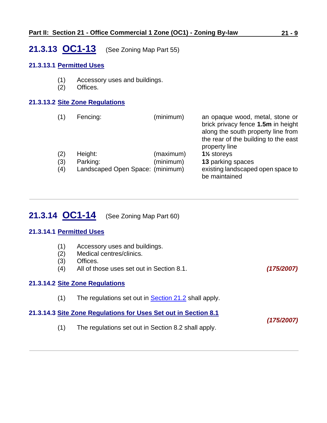### <span id="page-8-0"></span>**21.3.13 OC1-13** (See Zoning Map Part 55)

#### **21.3.13.1 Permitted Uses**

- (1) Accessory uses and buildings.
- (2) Offices.

#### **21.3.13.2 Site Zone Regulations**

| (1)        | Fencing:                                     | (minimum) | an opaque wood, metal, stone or<br>brick privacy fence 1.5m in height<br>along the south property line from<br>the rear of the building to the east<br>property line |
|------------|----------------------------------------------|-----------|----------------------------------------------------------------------------------------------------------------------------------------------------------------------|
| (2)        | Height:                                      | (maximum) | 1% storeys                                                                                                                                                           |
| (3)<br>(4) | Parking:<br>Landscaped Open Space: (minimum) | (minimum) | 13 parking spaces<br>existing landscaped open space to<br>be maintained                                                                                              |

# <span id="page-8-1"></span>**21.3.14 OC1-14** (See Zoning Map Part 60)

#### **21.3.14.1 Permitted Uses**

- (1) Accessory uses and buildings.
- (2) Medical centres/clinics.
- (3) Offices.
- (4) All of those uses set out in Section 8.1. *(175/2007)*

*(175/2007)*

#### **21.3.14.2 Site Zone Regulations**

(1) The regulations set out in  $Section 21.2$  shall apply.

#### **21.3.14.3 Site Zone Regulations for Uses Set out in Section 8.1**

(1) The regulations set out in Section 8.2 shall apply.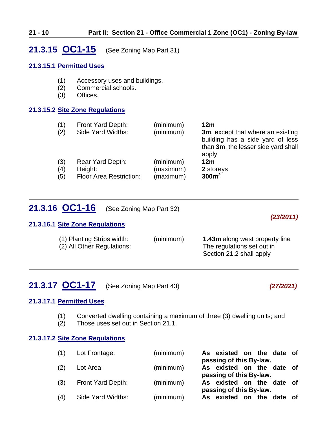### <span id="page-9-0"></span>**21.3.15 OC1-15** (See Zoning Map Part 31)

#### **21.3.15.1 Permitted Uses**

- (1) Accessory uses and buildings.
- (2) Commercial schools.
- (3) Offices.

#### **21.3.15.2 Site Zone Regulations**

| (1) | Front Yard Depth:              | (minimum) | 12 <sub>m</sub>                                                                                                       |
|-----|--------------------------------|-----------|-----------------------------------------------------------------------------------------------------------------------|
| (2) | Side Yard Widths:              | (minimum) | 3m, except that where an existing<br>building has a side yard of less<br>than 3m, the lesser side yard shall<br>apply |
| (3) | Rear Yard Depth:               | (minimum) | 12m                                                                                                                   |
| (4) | Height:                        | (maximum) | 2 storeys                                                                                                             |
| (5) | <b>Floor Area Restriction:</b> | (maximum) | 300m <sup>2</sup>                                                                                                     |

### **21.3.16 OC1-16** (See Zoning Map Part 32)

#### **21.3.16.1 Site Zone Regulations**

<span id="page-9-1"></span>

| (1) Planting Strips width: | (minimum) | <b>1.43m</b> along west property line |
|----------------------------|-----------|---------------------------------------|
| (2) All Other Regulations: |           | The regulations set out in            |
|                            |           | Section 21.2 shall apply              |

# <span id="page-9-2"></span>**21.3.17 OC1-17** (See Zoning Map Part 43) *(27/2021)*

*(23/2011)*

#### **21.3.17.1 Permitted Uses**

- (1) Converted dwelling containing a maximum of three (3) dwelling units; and
- (2) Those uses set out in Section 21.1.

#### **21.3.17.2 Site Zone Regulations**

| (1) | Lot Frontage:     | (minimum) | As existed on the date of<br>passing of this By-law. |
|-----|-------------------|-----------|------------------------------------------------------|
| (2) | Lot Area:         | (minimum) | As existed on the date of                            |
| (3) | Front Yard Depth: | (minimum) | passing of this By-law.<br>As existed on the date of |
| (4) | Side Yard Widths: | (minimum) | passing of this By-law.<br>As existed on the date of |